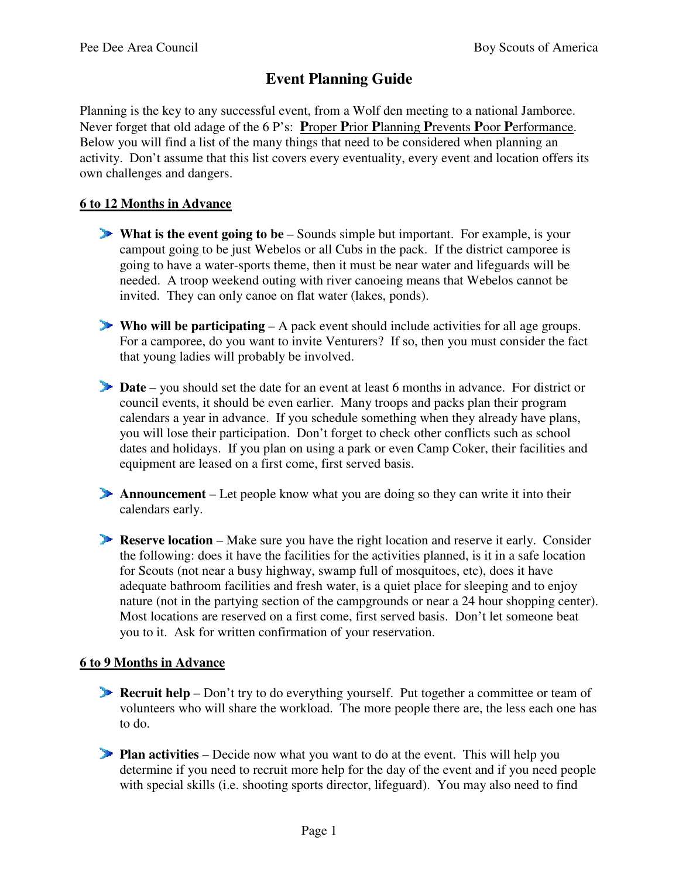# **Event Planning Guide**

Planning is the key to any successful event, from a Wolf den meeting to a national Jamboree. Never forget that old adage of the 6 P's: **P**roper **P**rior **P**lanning **P**revents **P**oor **P**erformance. Below you will find a list of the many things that need to be considered when planning an activity. Don't assume that this list covers every eventuality, every event and location offers its own challenges and dangers.

# **6 to 12 Months in Advance**

- **What is the event going to be** Sounds simple but important. For example, is your campout going to be just Webelos or all Cubs in the pack. If the district camporee is going to have a water-sports theme, then it must be near water and lifeguards will be needed. A troop weekend outing with river canoeing means that Webelos cannot be invited. They can only canoe on flat water (lakes, ponds).
- **Who will be participating**  $A$  pack event should include activities for all age groups. For a camporee, do you want to invite Venturers? If so, then you must consider the fact that young ladies will probably be involved.
- **Date** you should set the date for an event at least 6 months in advance. For district or council events, it should be even earlier. Many troops and packs plan their program calendars a year in advance. If you schedule something when they already have plans, you will lose their participation. Don't forget to check other conflicts such as school dates and holidays. If you plan on using a park or even Camp Coker, their facilities and equipment are leased on a first come, first served basis.
- **Announcement** Let people know what you are doing so they can write it into their calendars early.
- **Reserve location** Make sure you have the right location and reserve it early. Consider the following: does it have the facilities for the activities planned, is it in a safe location for Scouts (not near a busy highway, swamp full of mosquitoes, etc), does it have adequate bathroom facilities and fresh water, is a quiet place for sleeping and to enjoy nature (not in the partying section of the campgrounds or near a 24 hour shopping center). Most locations are reserved on a first come, first served basis. Don't let someone beat you to it. Ask for written confirmation of your reservation.

#### **6 to 9 Months in Advance**

- **Recruit help** Don't try to do everything yourself. Put together a committee or team of volunteers who will share the workload. The more people there are, the less each one has to do.
- **Plan activities** Decide now what you want to do at the event. This will help you determine if you need to recruit more help for the day of the event and if you need people with special skills (i.e. shooting sports director, lifeguard). You may also need to find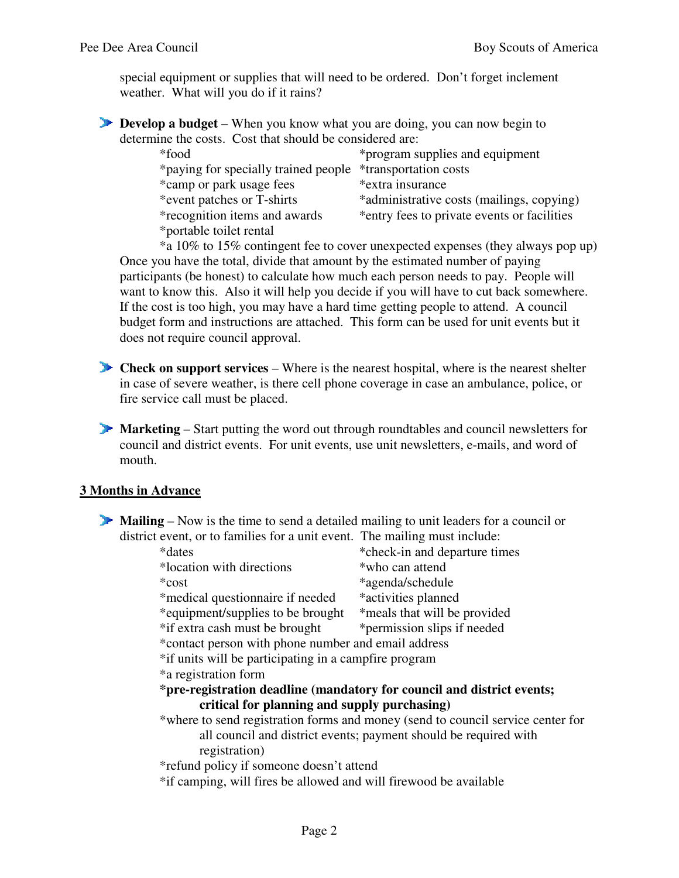special equipment or supplies that will need to be ordered. Don't forget inclement weather. What will you do if it rains?

**Develop a budget** – When you know what you are doing, you can now begin to determine the costs. Cost that should be considered are:

| *food                                                      | *program supplies and equipment             |
|------------------------------------------------------------|---------------------------------------------|
| *paying for specially trained people *transportation costs |                                             |
| *camp or park usage fees                                   | *extra insurance                            |
| *event patches or T-shirts                                 | *administrative costs (mailings, copying)   |
| <i>*recognition items and awards</i>                       | *entry fees to private events or facilities |
| *portable toilet rental                                    |                                             |

 \*a 10% to 15% contingent fee to cover unexpected expenses (they always pop up) Once you have the total, divide that amount by the estimated number of paying participants (be honest) to calculate how much each person needs to pay. People will want to know this. Also it will help you decide if you will have to cut back somewhere. If the cost is too high, you may have a hard time getting people to attend. A council budget form and instructions are attached. This form can be used for unit events but it does not require council approval.

**Check on support services** – Where is the nearest hospital, where is the nearest shelter in case of severe weather, is there cell phone coverage in case an ambulance, police, or fire service call must be placed.

**Marketing** – Start putting the word out through roundtables and council newsletters for council and district events. For unit events, use unit newsletters, e-mails, and word of mouth.

#### **3 Months in Advance**

**Mailing** – Now is the time to send a detailed mailing to unit leaders for a council or district event, or to families for a unit event. The mailing must include:

| *check-in and departure times                                                   |  |  |  |
|---------------------------------------------------------------------------------|--|--|--|
| *who can attend                                                                 |  |  |  |
| *agenda/schedule                                                                |  |  |  |
| *activities planned                                                             |  |  |  |
| *equipment/supplies to be brought<br>*meals that will be provided               |  |  |  |
| *permission slips if needed                                                     |  |  |  |
| *contact person with phone number and email address                             |  |  |  |
| *if units will be participating in a campfire program                           |  |  |  |
|                                                                                 |  |  |  |
| *pre-registration deadline (mandatory for council and district events;          |  |  |  |
| critical for planning and supply purchasing)                                    |  |  |  |
| *where to send registration forms and money (send to council service center for |  |  |  |
| all council and district events; payment should be required with                |  |  |  |
|                                                                                 |  |  |  |
| *refund policy if someone doesn't attend                                        |  |  |  |
|                                                                                 |  |  |  |

\*if camping, will fires be allowed and will firewood be available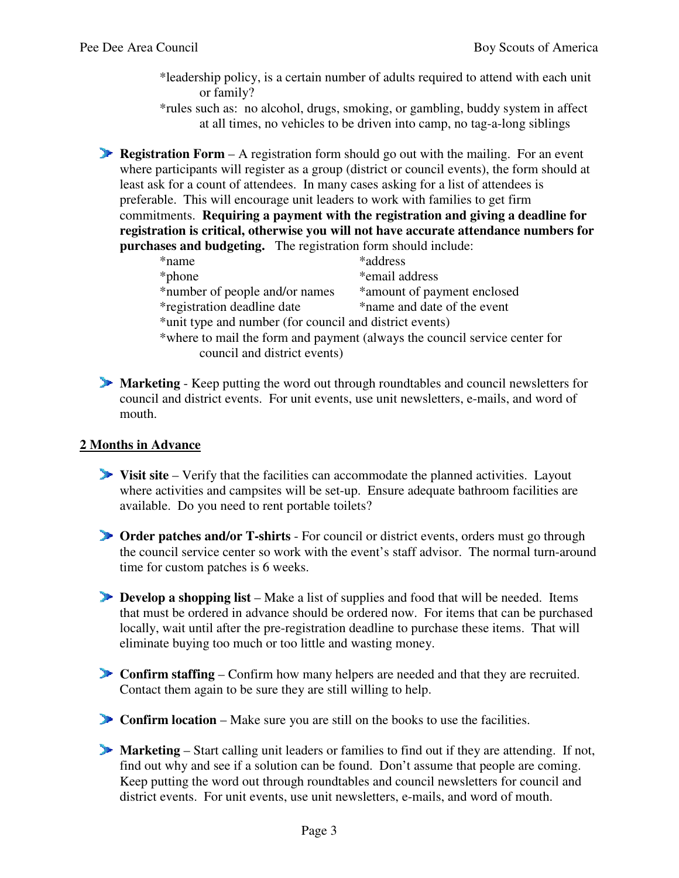- \*leadership policy, is a certain number of adults required to attend with each unit or family?
- \*rules such as: no alcohol, drugs, smoking, or gambling, buddy system in affect at all times, no vehicles to be driven into camp, no tag-a-long siblings

**Registration Form** – A registration form should go out with the mailing. For an event where participants will register as a group (district or council events), the form should at least ask for a count of attendees. In many cases asking for a list of attendees is preferable. This will encourage unit leaders to work with families to get firm commitments. **Requiring a payment with the registration and giving a deadline for registration is critical, otherwise you will not have accurate attendance numbers for purchases and budgeting.** The registration form should include:

| *name                                                   | *address                                                                   |  |
|---------------------------------------------------------|----------------------------------------------------------------------------|--|
| *phone                                                  | *email address                                                             |  |
| *number of people and/or names                          | *amount of payment enclosed                                                |  |
| <i>*registration deadline date</i>                      | *name and date of the event                                                |  |
| *unit type and number (for council and district events) |                                                                            |  |
|                                                         | *where to mail the form and payment (always the council service center for |  |
| council and district events)                            |                                                                            |  |

**Marketing** - Keep putting the word out through roundtables and council newsletters for council and district events. For unit events, use unit newsletters, e-mails, and word of mouth.

## **2 Months in Advance**

- **Visit site** Verify that the facilities can accommodate the planned activities. Layout where activities and campsites will be set-up. Ensure adequate bathroom facilities are available. Do you need to rent portable toilets?
- **Order patches and/or T-shirts**  For council or district events, orders must go through the council service center so work with the event's staff advisor. The normal turn-around time for custom patches is 6 weeks.
- **Develop a shopping list** Make a list of supplies and food that will be needed. Items that must be ordered in advance should be ordered now. For items that can be purchased locally, wait until after the pre-registration deadline to purchase these items. That will eliminate buying too much or too little and wasting money.
- **Confirm staffing** Confirm how many helpers are needed and that they are recruited. Contact them again to be sure they are still willing to help.
- **Confirm location** Make sure you are still on the books to use the facilities.
- **Marketing**  Start calling unit leaders or families to find out if they are attending. If not, find out why and see if a solution can be found. Don't assume that people are coming. Keep putting the word out through roundtables and council newsletters for council and district events. For unit events, use unit newsletters, e-mails, and word of mouth.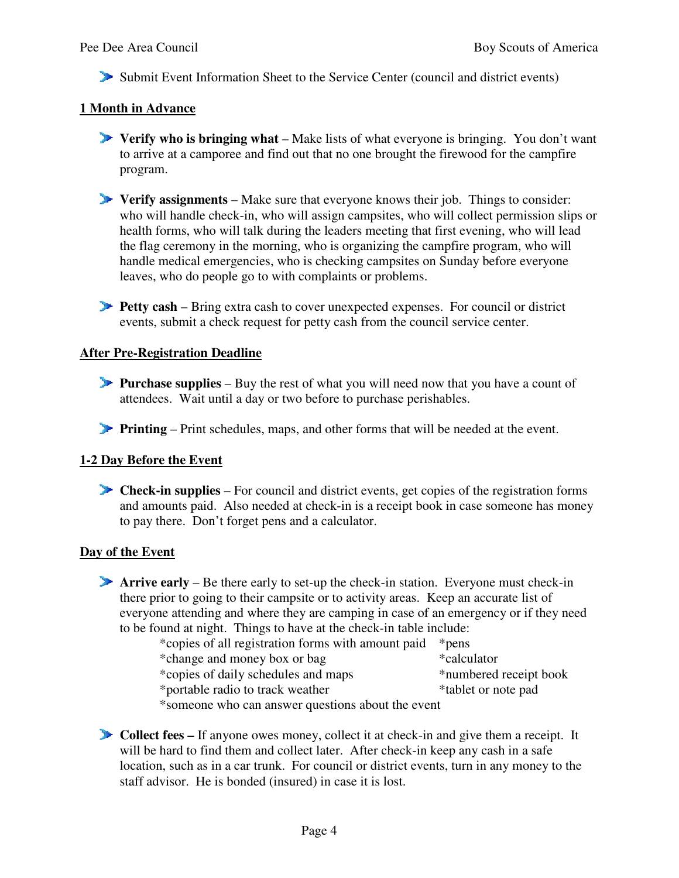Submit Event Information Sheet to the Service Center (council and district events)

#### **1 Month in Advance**

- **Verify who is bringing what** Make lists of what everyone is bringing. You don't want to arrive at a camporee and find out that no one brought the firewood for the campfire program.
- **Verify assignments**  Make sure that everyone knows their job. Things to consider: who will handle check-in, who will assign campsites, who will collect permission slips or health forms, who will talk during the leaders meeting that first evening, who will lead the flag ceremony in the morning, who is organizing the campfire program, who will handle medical emergencies, who is checking campsites on Sunday before everyone leaves, who do people go to with complaints or problems.
- **Petty cash** Bring extra cash to cover unexpected expenses. For council or district events, submit a check request for petty cash from the council service center.

#### **After Pre-Registration Deadline**

- **Purchase supplies** Buy the rest of what you will need now that you have a count of attendees. Wait until a day or two before to purchase perishables.
- **Printing** Print schedules, maps, and other forms that will be needed at the event.

#### **1-2 Day Before the Event**

**Check-in supplies** – For council and district events, get copies of the registration forms and amounts paid. Also needed at check-in is a receipt book in case someone has money to pay there. Don't forget pens and a calculator.

#### **Day of the Event**

**Arrive early** – Be there early to set-up the check-in station. Everyone must check-in there prior to going to their campsite or to activity areas. Keep an accurate list of everyone attending and where they are camping in case of an emergency or if they need to be found at night. Things to have at the check-in table include:

| *copies of all registration forms with amount paid | *pens                  |  |
|----------------------------------------------------|------------------------|--|
| *change and money box or bag                       | *calculator            |  |
| *copies of daily schedules and maps                | *numbered receipt book |  |
| *portable radio to track weather                   | *tablet or note pad    |  |
|                                                    |                        |  |

\*someone who can answer questions about the event

**Collect fees –** If anyone owes money, collect it at check-in and give them a receipt. It will be hard to find them and collect later. After check-in keep any cash in a safe location, such as in a car trunk. For council or district events, turn in any money to the staff advisor. He is bonded (insured) in case it is lost.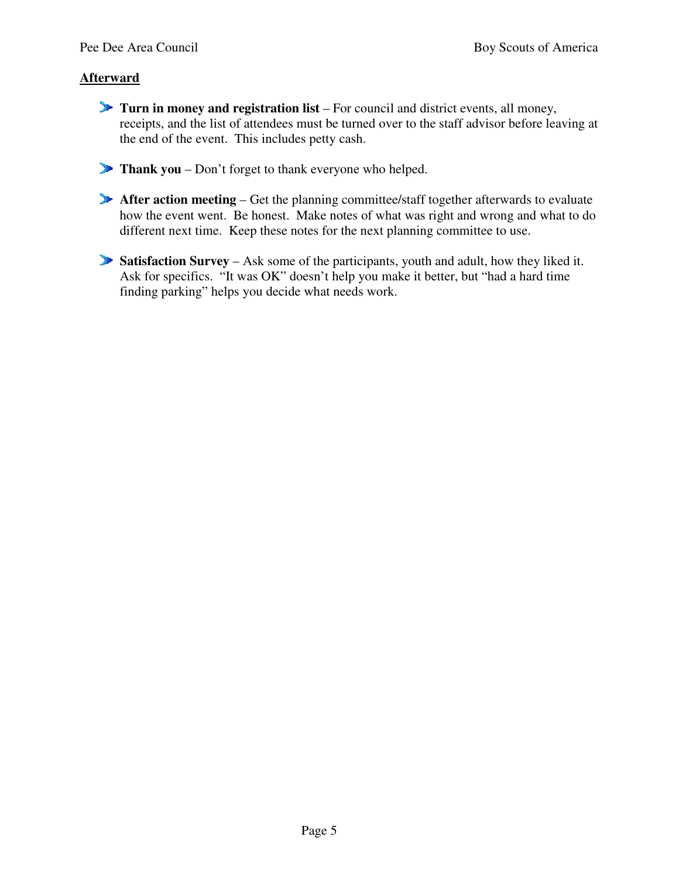# **Afterward**

- **Turn in money and registration list**  For council and district events, all money, receipts, and the list of attendees must be turned over to the staff advisor before leaving at the end of the event. This includes petty cash.
- **Thank you** Don't forget to thank everyone who helped.
- **After action meeting** Get the planning committee/staff together afterwards to evaluate how the event went. Be honest. Make notes of what was right and wrong and what to do different next time. Keep these notes for the next planning committee to use.
- **Satisfaction Survey** Ask some of the participants, youth and adult, how they liked it. Ask for specifics. "It was OK" doesn't help you make it better, but "had a hard time finding parking" helps you decide what needs work.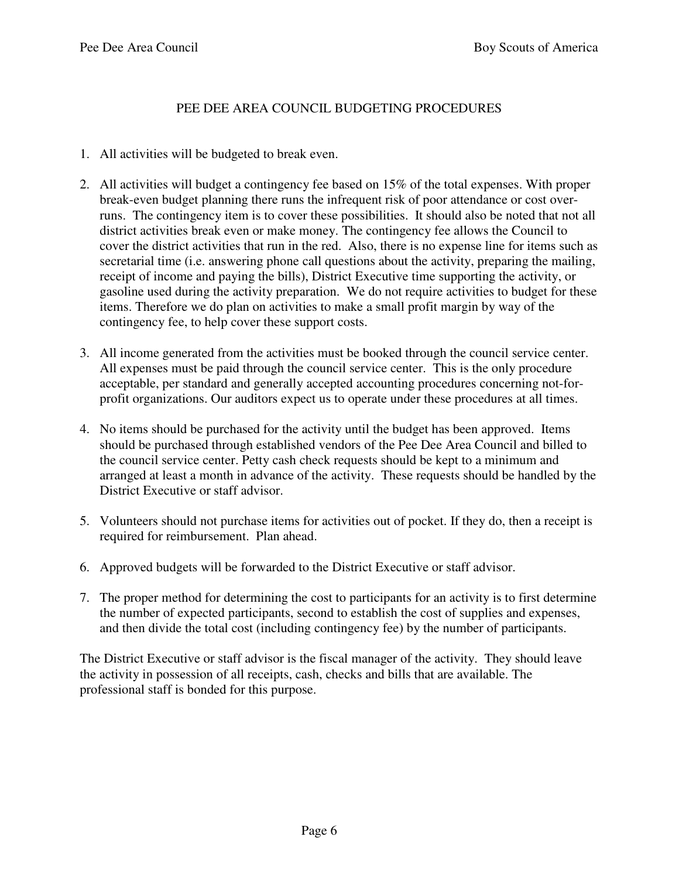## PEE DEE AREA COUNCIL BUDGETING PROCEDURES

- 1. All activities will be budgeted to break even.
- 2. All activities will budget a contingency fee based on 15% of the total expenses. With proper break-even budget planning there runs the infrequent risk of poor attendance or cost overruns. The contingency item is to cover these possibilities. It should also be noted that not all district activities break even or make money. The contingency fee allows the Council to cover the district activities that run in the red. Also, there is no expense line for items such as secretarial time (i.e. answering phone call questions about the activity, preparing the mailing, receipt of income and paying the bills), District Executive time supporting the activity, or gasoline used during the activity preparation. We do not require activities to budget for these items. Therefore we do plan on activities to make a small profit margin by way of the contingency fee, to help cover these support costs.
- 3. All income generated from the activities must be booked through the council service center. All expenses must be paid through the council service center. This is the only procedure acceptable, per standard and generally accepted accounting procedures concerning not-forprofit organizations. Our auditors expect us to operate under these procedures at all times.
- 4. No items should be purchased for the activity until the budget has been approved. Items should be purchased through established vendors of the Pee Dee Area Council and billed to the council service center. Petty cash check requests should be kept to a minimum and arranged at least a month in advance of the activity. These requests should be handled by the District Executive or staff advisor.
- 5. Volunteers should not purchase items for activities out of pocket. If they do, then a receipt is required for reimbursement. Plan ahead.
- 6. Approved budgets will be forwarded to the District Executive or staff advisor.
- 7. The proper method for determining the cost to participants for an activity is to first determine the number of expected participants, second to establish the cost of supplies and expenses, and then divide the total cost (including contingency fee) by the number of participants.

The District Executive or staff advisor is the fiscal manager of the activity. They should leave the activity in possession of all receipts, cash, checks and bills that are available. The professional staff is bonded for this purpose.